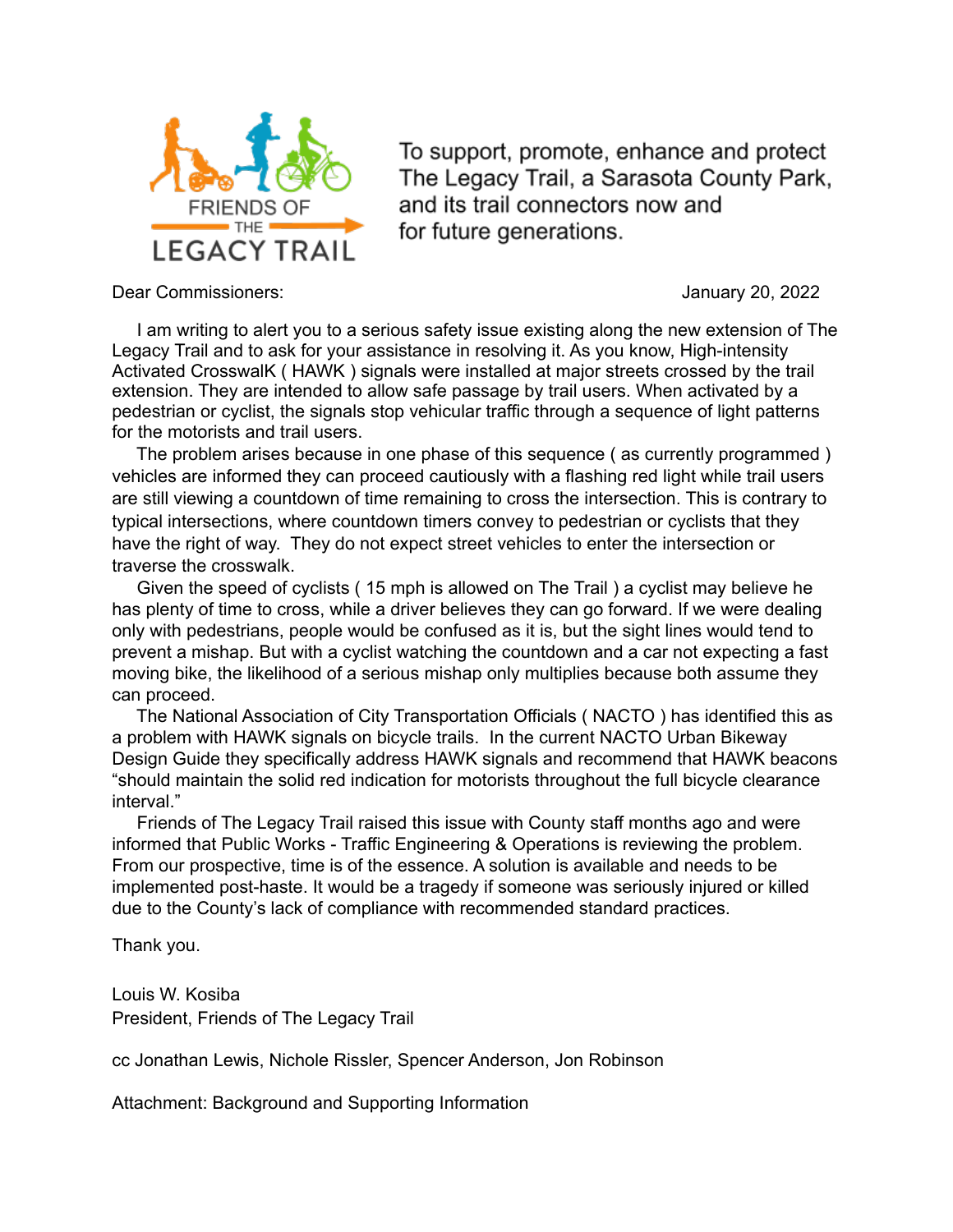

To support, promote, enhance and protect The Legacy Trail, a Sarasota County Park, and its trail connectors now and for future generations.

Dear Commissioners: January 20, 2022

 I am writing to alert you to a serious safety issue existing along the new extension of The Legacy Trail and to ask for your assistance in resolving it. As you know, High-intensity Activated CrosswalK ( HAWK ) signals were installed at major streets crossed by the trail extension. They are intended to allow safe passage by trail users. When activated by a pedestrian or cyclist, the signals stop vehicular traffic through a sequence of light patterns for the motorists and trail users.

 The problem arises because in one phase of this sequence ( as currently programmed ) vehicles are informed they can proceed cautiously with a flashing red light while trail users are still viewing a countdown of time remaining to cross the intersection. This is contrary to typical intersections, where countdown timers convey to pedestrian or cyclists that they have the right of way. They do not expect street vehicles to enter the intersection or traverse the crosswalk.

 Given the speed of cyclists ( 15 mph is allowed on The Trail ) a cyclist may believe he has plenty of time to cross, while a driver believes they can go forward. If we were dealing only with pedestrians, people would be confused as it is, but the sight lines would tend to prevent a mishap. But with a cyclist watching the countdown and a car not expecting a fast moving bike, the likelihood of a serious mishap only multiplies because both assume they can proceed.

 The National Association of City Transportation Officials ( NACTO ) has identified this as a problem with HAWK signals on bicycle trails. In the current NACTO Urban Bikeway Design Guide they specifically address HAWK signals and recommend that HAWK beacons "should maintain the solid red indication for motorists throughout the full bicycle clearance interval."

 Friends of The Legacy Trail raised this issue with County staff months ago and were informed that Public Works - Traffic Engineering & Operations is reviewing the problem. From our prospective, time is of the essence. A solution is available and needs to be implemented post-haste. It would be a tragedy if someone was seriously injured or killed due to the County's lack of compliance with recommended standard practices.

Thank you.

Louis W. Kosiba President, Friends of The Legacy Trail

cc Jonathan Lewis, Nichole Rissler, Spencer Anderson, Jon Robinson

Attachment: Background and Supporting Information